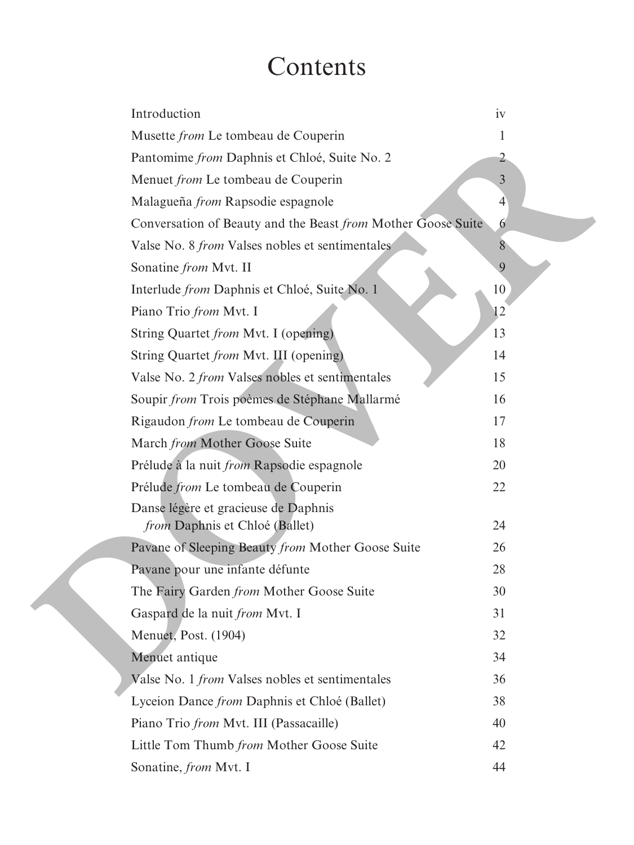## Contents

|  | Introduction                                                           | iv             |
|--|------------------------------------------------------------------------|----------------|
|  | Musette from Le tombeau de Couperin                                    |                |
|  | Pantomime from Daphnis et Chloé, Suite No. 2                           | 2              |
|  | Menuet from Le tombeau de Couperin                                     | $\overline{3}$ |
|  | Malagueña from Rapsodie espagnole                                      | $\overline{4}$ |
|  | Conversation of Beauty and the Beast from Mother Goose Suite           | 6              |
|  | Valse No. 8 from Valses nobles et sentimentales                        | 8              |
|  | Sonatine from Mvt. II                                                  | 9              |
|  | Interlude from Daphnis et Chloé, Suite No. 1                           | 10             |
|  | Piano Trio from Mvt. I                                                 | 12             |
|  | String Quartet from Mvt. I (opening)                                   | 13             |
|  | String Quartet from Mvt. III (opening)                                 | 14             |
|  | Valse No. 2 from Valses nobles et sentimentales                        | 15             |
|  | Soupir from Trois poèmes de Stéphane Mallarmé                          | 16             |
|  | Rigaudon from Le tombeau de Couperin                                   | 17             |
|  | March from Mother Goose Suite                                          | 18             |
|  | Prélude à la nuit from Rapsodie espagnole                              | 20             |
|  | Prélude from Le tombeau de Couperin                                    | 22             |
|  | Danse légère et gracieuse de Daphnis<br>from Daphnis et Chloé (Ballet) | 24             |
|  | Pavane of Sleeping Beauty from Mother Goose Suite                      | 26             |
|  | Pavane pour une infante défunte                                        | 28             |
|  | The Fairy Garden from Mother Goose Suite                               | 30             |
|  | Gaspard de la nuit from Mvt. I                                         | 31             |
|  | Menuet, Post. (1904)                                                   | 32             |
|  | Menuet antique                                                         | 34             |
|  | Valse No. 1 from Valses nobles et sentimentales                        | 36             |
|  | Lyceion Dance from Daphnis et Chloé (Ballet)                           | 38             |
|  | Piano Trio from Mvt. III (Passacaille)                                 | 40             |
|  | Little Tom Thumb from Mother Goose Suite                               | 42             |
|  | Sonatine, from Mvt. I                                                  | 44             |
|  |                                                                        |                |
|  |                                                                        |                |
|  |                                                                        |                |
|  |                                                                        |                |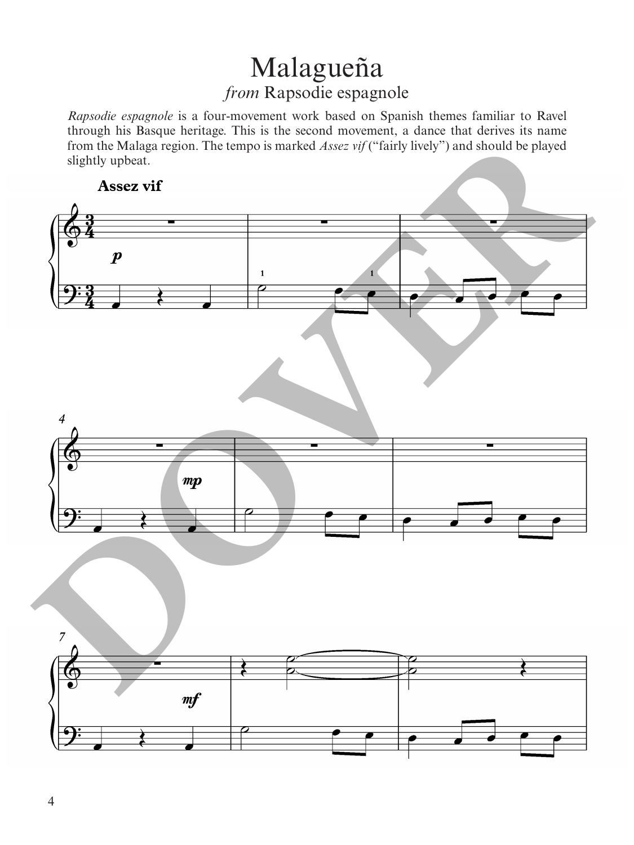## Malagueña *from* Rapsodie espagnole

*Rapsodie espagnole* is a four-movement work based on Spanish themes familiar to Ravel through his Basque heritage. This is the second movement, a dance that derives its name from the Malaga region. The tempo is marked *Assez vif* ("fairly lively") and should be played slightly upbeat.

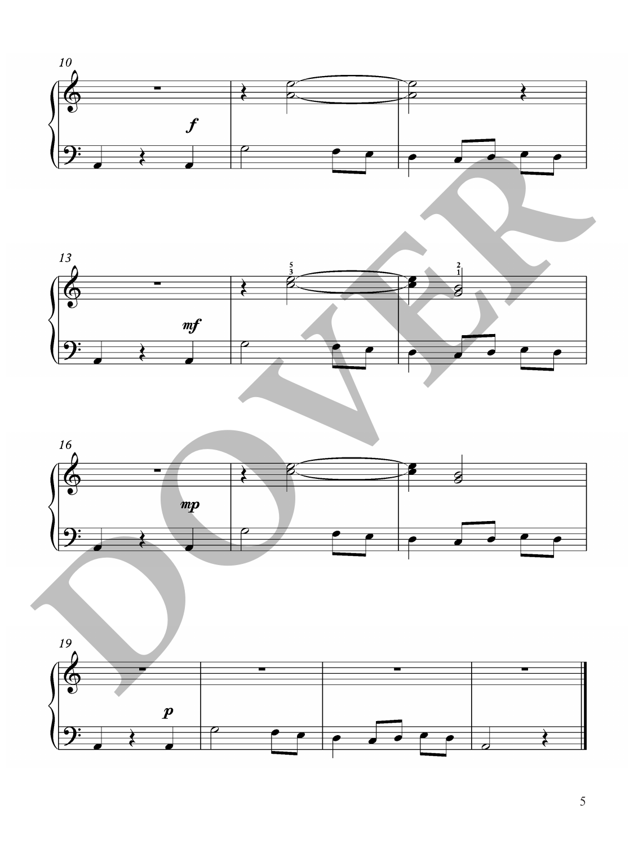



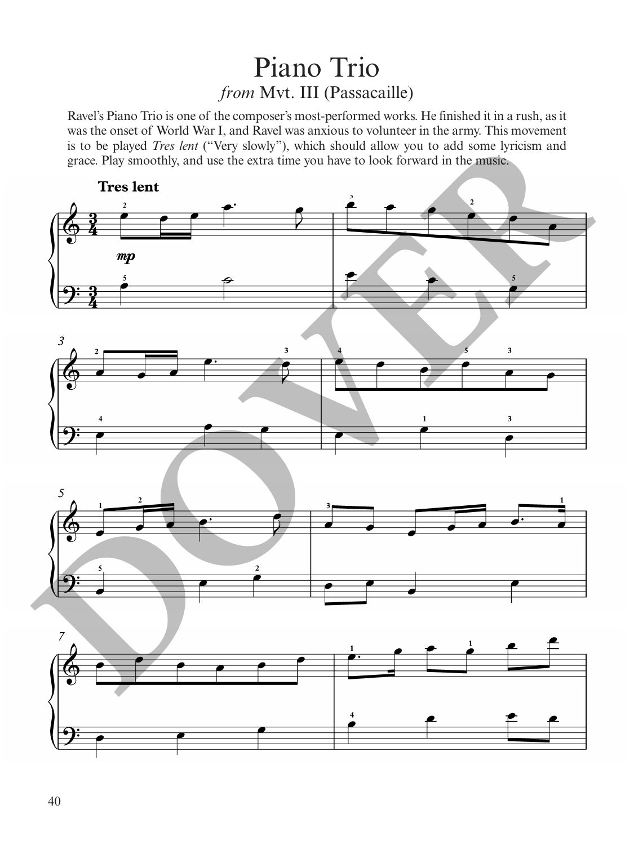## Piano Trio *from* Mvt. III (Passacaille)

Ravel's Piano Trio is one of the composer's most-performed works. He finished it in a rush, as it was the onset of World War I, and Ravel was anxious to volunteer in the army. This movement is to be played *Tres lent* ("Very slowly"), which should allow you to add some lyricism and grace. Play smoothly, and use the extra time you have to look forward in the music.